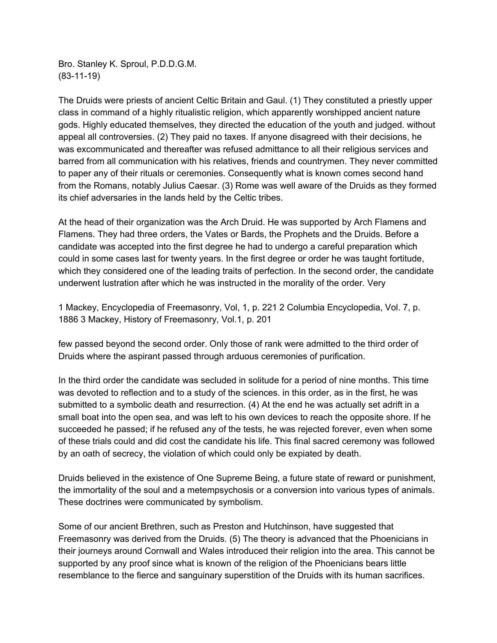Bro. Stanley K. Sproul, P.D.D.G.M. (83-11-19)

The Druids were priests of ancient Celtic Britain and Gaul. (1) They constituted a priestly upper class in command of a highly ritualistic religion, which apparently worshipped ancient nature gods. Highly educated themselves, they directed the education of the youth and judged. without appeal all controversies. (2) They paid no taxes. If anyone disagreed with their decisions, he was excommunicated and thereafter was refused admittance to all their religious services and barred from all communication with his relatives, friends and countrymen. They never committed to paper any of their rituals or ceremonies. Consequently what is known comes second hand from the Romans, notably Julius Caesar. (3) Rome was well aware of the Druids as they formed its chief adversaries in the lands held by the Celtic tribes.

At the head of their organization was the Arch Druid. He was supported by Arch Flamens and Flamens. They had three orders, the Vates or Bards, the Prophets and the Druids. Before a candidate was accepted into the first degree he had to undergo a careful preparation which could in some cases last for twenty years. In the first degree or order he was taught fortitude, which they considered one of the leading traits of perfection. In the second order, the candidate underwent lustration after which he was instructed in the morality of the order. Very

1 Mackey, Encyclopedia of Freemasonry, Vol, 1, p. 221 2 Columbia Encyclopedia, Vol. 7, p. 1886 3 Mackey, History of Freemasonry, Vol.1, p. 201

few passed beyond the second order. Only those of rank were admitted to the third order of Druids where the aspirant passed through arduous ceremonies of purification.

In the third order the candidate was secluded in solitude for a period of nine months. This time was devoted to reflection and to a study of the sciences. in this order, as in the first, he was submitted to a symbolic death and resurrection. (4) At the end he was actually set adrift in a small boat into the open sea, and was left to his own devices to reach the opposite shore. If he succeeded he passed; if he refused any of the tests, he was rejected forever, even when some of these trials could and did cost the candidate his life. This final sacred ceremony was followed by an oath of secrecy, the violation of which could only be expiated by death.

Druids believed in the existence of One Supreme Being, a future state of reward or punishment, the immortality of the soul and a metempsychosis or a conversion into various types of animals. These doctrines were communicated by symbolism.

Some of our ancient Brethren, such as Preston and Hutchinson, have suggested that Freemasonry was derived from the Druids. (5) The theory is advanced that the Phoenicians in their journeys around Cornwall and Wales introduced their religion into the area. This cannot be supported by any proof since what is known of the religion of the Phoenicians bears little resemblance to the fierce and sanguinary superstition of the Druids with its human sacrifices.